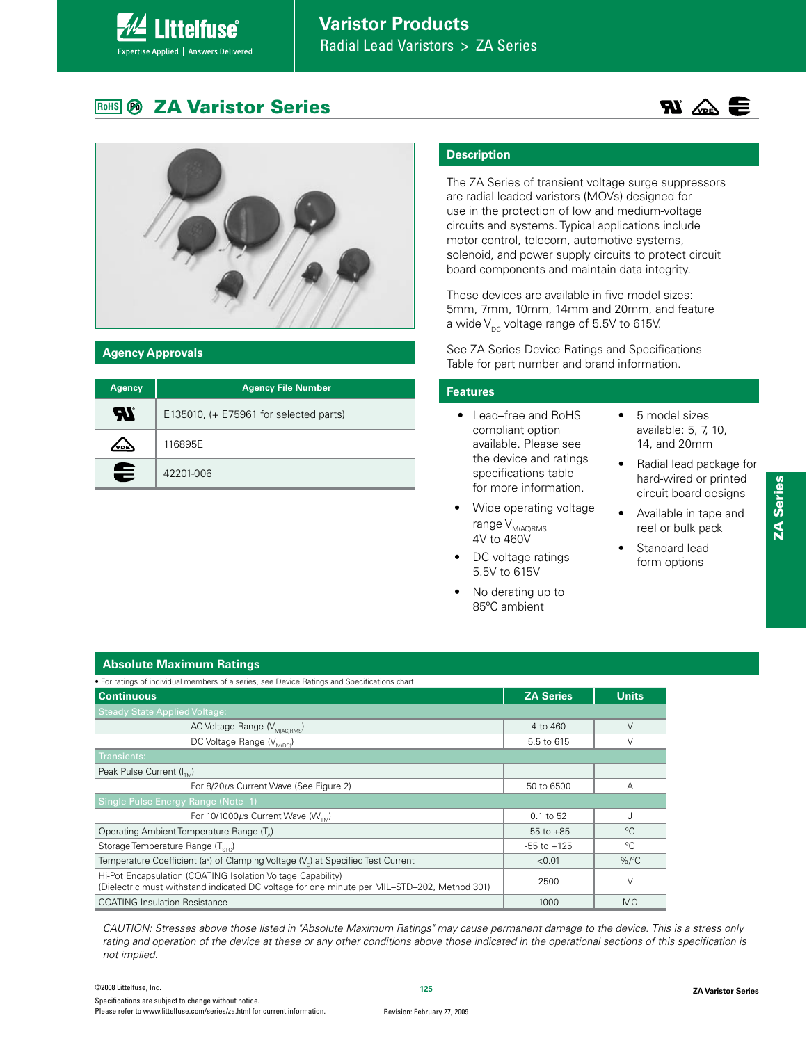#### **RoHS ZA Varistor Series**



# **Agency Approvals**

| <b>Agency</b> | <b>Agency File Number</b>                |
|---------------|------------------------------------------|
| 57            | E135010, $(+ E75961$ for selected parts) |
| VDE           | 116895E                                  |
| €             | 42201-006                                |

# **Description**

The ZA Series of transient voltage surge suppressors are radial leaded varistors (MOVs) designed for use in the protection of low and medium-voltage circuits and systems. Typical applications include motor control, telecom, automotive systems, solenoid, and power supply circuits to protect circuit board components and maintain data integrity.

These devices are available in five model sizes: 5mm, 7mm, 10mm, 14mm and 20mm, and feature a wide  $V_{DC}$  voltage range of 5.5V to 615V.

See ZA Series Device Ratings and Specifications Table for part number and brand information.

### **Features**

- Lead-free and RoHS compliant option available. Please see the device and ratings specifications table for more information.
- Wide operating voltage  $range V_{M(AC)RMS}$ 4V to 460V
- DC voltage ratings 5.5V to 615V
- No derating up to 85ºC ambient

 $\bullet$  5 model sizes available: 5, 7, 10, 14, and 20mm

 $\mathbf{R}$   $\mathbf{w}$   $\mathbf{w}$ 

- Radial lead package for hard-wired or printed circuit board designs
- Available in tape and reel or bulk pack
- Standard lead form options
	-

# **Absolute Maximum Ratings**

| • For ratings of individual members of a series, see Device Ratings and Specifications chart                                                               |                  |                      |
|------------------------------------------------------------------------------------------------------------------------------------------------------------|------------------|----------------------|
| <b>Continuous</b>                                                                                                                                          | <b>ZA Series</b> | <b>Units</b>         |
| Steady State Applied Voltage:                                                                                                                              |                  |                      |
| AC Voltage Range (V <sub>M(AC)RMS</sub> )                                                                                                                  | 4 to 460         | $\vee$               |
| DC Voltage Range (V <sub>MIDC)</sub>                                                                                                                       | 5.5 to 615       | V                    |
| Transients:                                                                                                                                                |                  |                      |
| Peak Pulse Current (I <sub>nd</sub> )                                                                                                                      |                  |                      |
| For 8/20µs Current Wave (See Figure 2)                                                                                                                     | 50 to 6500       | A                    |
| Single Pulse Energy Range (Note 1)                                                                                                                         |                  |                      |
| For 10/1000 $\mu$ s Current Wave (W <sub>7M</sub> )                                                                                                        | 0.1 to 52        |                      |
| Operating Ambient Temperature Range (T <sub>a</sub> )                                                                                                      | $-55$ to $+85$   | °C                   |
| Storage Temperature Range (T <sub>erc</sub> )                                                                                                              | $-55$ to $+125$  | °C                   |
| Temperature Coefficient (a <sup>v</sup> ) of Clamping Voltage (V <sub>c</sub> ) at Specified Test Current                                                  | < 0.01           | $%$ <sup>o</sup> $C$ |
| Hi-Pot Encapsulation (COATING Isolation Voltage Capability)<br>(Dielectric must withstand indicated DC voltage for one minute per MIL–STD–202, Method 301) | 2500             | V                    |
| <b>COATING Insulation Resistance</b>                                                                                                                       | 1000             | $M\Omega$            |

CAUTION: Stresses above those listed in "Absolute Maximum Ratings" may cause permanent damage to the device. This is a stress only rating and operation of the device at these or any other conditions above those indicated in the operational sections of this specification is not implied.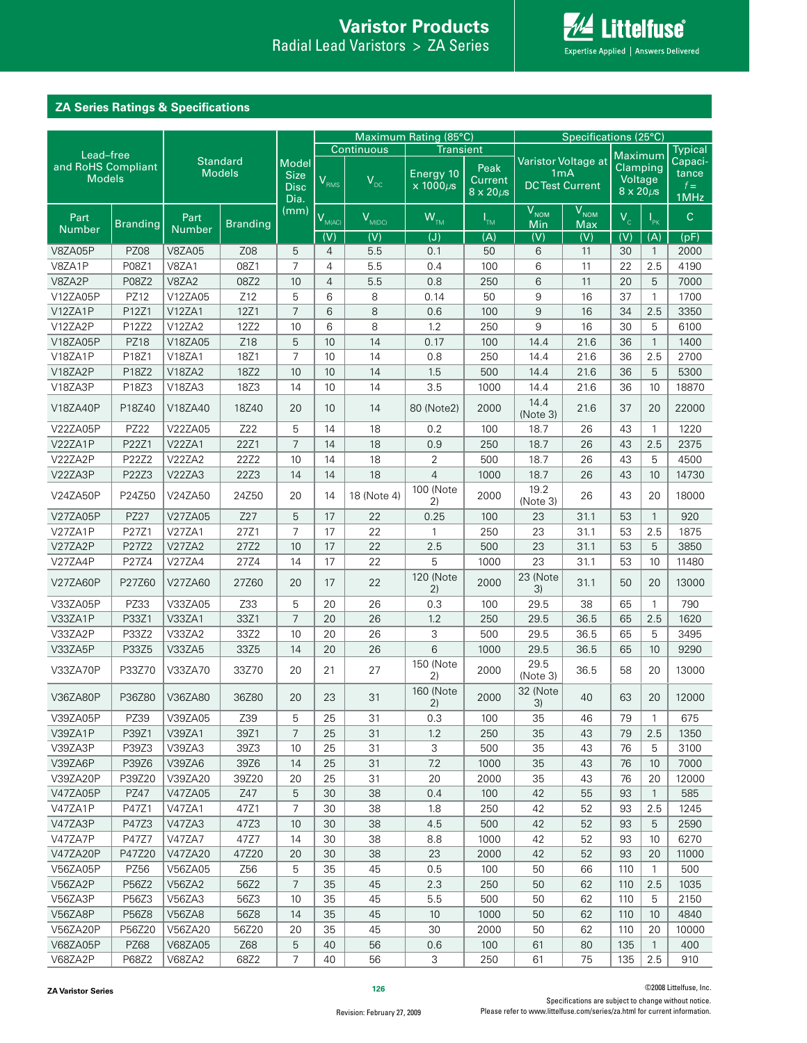**AL Littelfuse** Expertise Applied | Answers Delivered

# **ZA Series Ratings & Specifications**

|                                 |                 |                 |                 |                | Maximum Rating (85°C) |                  |                  | Specifications (25°C) |                     |                       |                     |              |                |
|---------------------------------|-----------------|-----------------|-----------------|----------------|-----------------------|------------------|------------------|-----------------------|---------------------|-----------------------|---------------------|--------------|----------------|
|                                 |                 |                 |                 |                |                       | Continuous       | <b>Transient</b> |                       |                     |                       |                     |              | <b>Typical</b> |
| Lead-free<br>and RoHS Compliant |                 | <b>Standard</b> |                 | <b>Model</b>   |                       |                  |                  | Peak                  | Varistor Voltage at |                       | Clamping            | Maximum      | Capaci-        |
| <b>Models</b>                   |                 |                 | <b>Models</b>   | <b>Size</b>    | VRMS                  | $V_{DC}$         | Energy 10        | Current               |                     | 1 <sub>m</sub> A      | Voltage             |              | tance          |
|                                 |                 |                 |                 | <b>Disc</b>    |                       |                  | $x 1000 \mu s$   | $8 \times 20 \mu s$   |                     | <b>DCTest Current</b> | $8 \times 20 \mu s$ |              | $f =$<br>1MHz  |
|                                 |                 |                 |                 | Dia.<br>(mm)   |                       |                  |                  |                       | V <sub>NOM</sub>    | V <sub>NOM</sub>      |                     |              |                |
| Part                            | <b>Branding</b> | Part            | <b>Branding</b> |                | V <sub>MIAC</sub>     | $V_{M(DC)}$      | $W_{TM}$         | $I_{TM}$              | Min                 | Max                   | $V_c$               | $I_{\rm PK}$ | $\mathsf{C}$   |
| <b>Number</b>                   |                 | <b>Number</b>   |                 |                | $\overline{(V)}$      | $\overline{(V)}$ | (J)              | $\overline{(A)}$      | (V)                 | (V)                   | (V)                 | (A)          | (pF)           |
| V8ZA05P                         | <b>PZ08</b>     | <b>V8ZA05</b>   | Z08             | 5              | $\overline{4}$        | 5.5              | 0.1              | 50                    | 6                   | 11                    | 30                  | $\mathbf{1}$ | 2000           |
| V8ZA1P                          | P08Z1           | V8ZA1           | 08Z1            | $\overline{7}$ | 4                     | 5.5              | 0.4              | 100                   | 6                   | 11                    | 22                  | 2.5          | 4190           |
| V8ZA2P                          | P08Z2           | V8ZA2           | 08Z2            | 10             | 4                     | 5.5              | 0.8              | 250                   | 6                   | 11                    | 20                  | 5            | 7000           |
| V12ZA05P                        | PZ12            | V12ZA05         | Z12             | 5              | 6                     | 8                | 0.14             | 50                    | 9                   | 16                    | 37                  | $\mathbf{1}$ | 1700           |
| V12ZA1P                         | P12Z1           | V12ZA1          | 12Z1            | $\overline{7}$ | 6                     | 8                | 0.6              | 100                   | $\overline{9}$      | 16                    | 34                  | 2.5          | 3350           |
| V12ZA2P                         | P12Z2           | V12ZA2          | 12Z2            | 10             | 6                     | 8                | 1.2              | 250                   | 9                   | 16                    | 30                  | 5            | 6100           |
| V18ZA05P                        | <b>PZ18</b>     | V18ZA05         | Z18             | 5              | 10                    | 14               | 0.17             | 100                   | 14.4                | 21.6                  | 36                  | $\mathbf{1}$ | 1400           |
| V18ZA1P                         | P18Z1           | V18ZA1          | 18Z1            | 7              | 10                    | 14               | 0.8              | 250                   | 14.4                | 21.6                  | 36                  | 2.5          | 2700           |
| V18ZA2P                         | P18Z2           | V18ZA2          | 18Z2            | 10             | 10                    | 14               | 1.5              | 500                   | 14.4                | 21.6                  | 36                  | 5            | 5300           |
| V18ZA3P                         | P18Z3           | V18ZA3          | 18Z3            | 14             | 10                    | 14               | 3.5              | 1000                  | 14.4                | 21.6                  | 36                  | 10           | 18870          |
| V18ZA40P                        | P18Z40          | V18ZA40         | 18Z40           | 20             | 10                    | 14               | 80 (Note2)       | 2000                  | 14.4<br>(Note 3)    | 21.6                  | 37                  | 20           | 22000          |
| V22ZA05P                        | PZ22            | V22ZA05         | Z22             | 5              | 14                    | 18               | 0.2              | 100                   | 18.7                | 26                    | 43                  | $\mathbf{1}$ | 1220           |
| V22ZA1P                         | P22Z1           | <b>V22ZA1</b>   | 22Z1            | $\overline{7}$ | 14                    | 18               | 0.9              | 250                   | 18.7                | 26                    | 43                  | 2.5          | 2375           |
| V22ZA2P                         | P22Z2           | V22ZA2          | 22Z2            | 10             | 14                    | 18               | 2                | 500                   | 18.7                | 26                    | 43                  | 5            | 4500           |
| V22ZA3P                         | P22Z3           | V22ZA3          | <b>22Z3</b>     | 14             | 14                    | 18               | $\overline{4}$   | 1000                  | 18.7                | 26                    | 43                  | 10           | 14730          |
|                                 |                 |                 |                 |                |                       |                  | 100 (Note        |                       | 19.2                | 26                    | 43                  | 20           |                |
| V24ZA50P                        | P24Z50          | V24ZA50         | 24Z50           | 20             | 14                    | 18 (Note 4)      | 2)               | 2000                  | (Note 3)            |                       |                     |              | 18000          |
| V27ZA05P                        | <b>PZ27</b>     | V27ZA05         | Z27             | 5              | 17                    | 22               | 0.25             | 100                   | 23                  | 31.1                  | 53                  | $\mathbf{1}$ | 920            |
| V27ZA1P                         | P27Z1           | <b>V27ZA1</b>   | 27Z1            | 7              | 17                    | 22               | $\mathbf{1}$     | 250                   | 23                  | 31.1                  | 53                  | 2.5          | 1875           |
| V27ZA2P                         | P27Z2           | <b>V27ZA2</b>   | 27Z2            | 10             | 17                    | 22               | 2.5              | 500                   | 23                  | 31.1                  | 53                  | 5            | 3850           |
| V27ZA4P                         | P27Z4           | V27ZA4          | 27Z4            | 14             | 17                    | 22               | 5                | 1000                  | 23                  | 31.1                  | 53                  | 10           | 11480          |
| V27ZA60P                        | P27Z60          | V27ZA60         | 27Z60           | 20             | 17                    | 22               | 120 (Note<br>2)  | 2000                  | 23 (Note<br>3)      | 31.1                  | 50                  | 20           | 13000          |
| V33ZA05P                        | PZ33            | V33ZA05         | Z33             | 5              | 20                    | 26               | 0.3              | 100                   | 29.5                | 38                    | 65                  | $\mathbf{1}$ | 790            |
| V33ZA1P                         | P33Z1           | V33ZA1          | 33Z1            | $\overline{7}$ | 20                    | 26               | 1.2              | 250                   | 29.5                | 36.5                  | 65                  | 2.5          | 1620           |
| V33ZA2P                         | P33Z2           | V33ZA2          | 33Z2            | 10             | 20                    | 26               | 3                | 500                   | 29.5                | 36.5                  | 65                  | 5            | 3495           |
| V33ZA5P                         | P33Z5           | V33ZA5          | 33Z5            | 14             | 20                    | 26               | 6                | 1000                  | 29.5                | 36.5                  | 65                  | 10           | 9290           |
| V33ZA70P                        | P33Z70          | V33ZA70         | 33Z70           | 20             | 21                    | 27               | 150 (Note<br>2)  | 2000                  | 29.5<br>(Note 3)    | 36.5                  | 58                  | 20           | 13000          |
| V36ZA80P                        | P36Z80          | V36ZA80         | 36Z80           | 20             | 23                    | 31               | 160 (Note<br>2)  | 2000                  | 32 (Note<br>3)      | 40                    | 63                  | 20           | 12000          |
| V39ZA05P                        | PZ39            | V39ZA05         | Z39             | 5              | 25                    | 31               | 0.3              | 100                   | 35                  | 46                    | 79                  | $\mathbf{1}$ | 675            |
| V39ZA1P                         | P39Z1           | V39ZA1          | 39Z1            | $\overline{7}$ | 25                    | 31               | 1.2              | 250                   | 35                  | 43                    | 79                  | 2.5          | 1350           |
| V39ZA3P                         | P39Z3           | V39ZA3          | 39Z3            | 10             | 25                    | 31               | 3                | 500                   | 35                  | 43                    | 76                  | 5            | 3100           |
| V39ZA6P                         | P39Z6           | V39ZA6          | 39Z6            | 14             | 25                    | 31               | 7.2              | 1000                  | 35                  | 43                    | 76                  | 10           | 7000           |
| V39ZA20P                        | P39Z20          | V39ZA20         | 39Z20           | 20             | 25                    | 31               | 20               | 2000                  | 35                  | 43                    | 76                  | 20           | 12000          |
| V47ZA05P                        | PZ47            | V47ZA05         | Z47             | 5              | 30                    | 38               | 0.4              | 100                   | 42                  | 55                    | 93                  | $\mathbf{1}$ | 585            |
| V47ZA1P                         | P47Z1           | V47ZA1          | 47Z1            | $\overline{7}$ | 30                    | 38               | 1.8              | 250                   | 42                  | 52                    | 93                  | 2.5          | 1245           |
| V47ZA3P                         | P47Z3           | V47ZA3          | 47Z3            | 10             | 30                    | 38               | 4.5              | 500                   | 42                  | 52                    | 93                  | 5            | 2590           |
| V47ZA7P                         | P47Z7           | <b>V47ZA7</b>   | 47Z7            | 14             | 30                    | 38               | 8.8              | 1000                  | 42                  | 52                    | 93                  | 10           | 6270           |
| V47ZA20P                        | P47Z20          | V47ZA20         | 47Z20           | 20             | 30                    | 38               | 23               | 2000                  | 42                  | 52                    | 93                  | 20           | 11000          |
| V56ZA05P                        | PZ56            | V56ZA05         | Z56             | 5              | 35                    | 45               | 0.5              | 100                   | 50                  | 66                    | 110                 | $\mathbf{1}$ | 500            |
| V56ZA2P                         | P56Z2           | <b>V56ZA2</b>   | 56Z2            | 7              | 35                    | 45               | 2.3              | 250                   | 50                  | 62                    | 110                 | 2.5          | 1035           |
| V56ZA3P                         | P56Z3           | V56ZA3          | 56Z3            | 10             | 35                    | 45               | 5.5              | 500                   | 50                  | 62                    | 110                 | 5            | 2150           |
| V56ZA8P                         | P56Z8           | <b>V56ZA8</b>   | 56Z8            | 14             | 35                    | 45               | 10               | 1000                  | 50                  | 62                    | 110                 | 10           | 4840           |
| V56ZA20P                        | P56Z20          | V56ZA20         | 56Z20           | 20             | 35                    | 45               | 30               | 2000                  | 50                  | 62                    | 110                 | 20           | 10000          |
| V68ZA05P                        | <b>PZ68</b>     | V68ZA05         | Z68             | 5              | 40                    | 56               | 0.6              | 100                   | 61                  | 80                    | 135                 | $\mathbf{1}$ | 400            |
| V68ZA2P                         | P68Z2           | <b>V68ZA2</b>   | 68Z2            | $\overline{7}$ | 40                    | 56               | 3                | 250                   | 61                  | 75                    | 135                 | 2.5          | 910            |

©2008 Littelfuse, Inc. Specifications are subject to change without notice. Please refer to www.littelfuse.com/series/za.html for current information.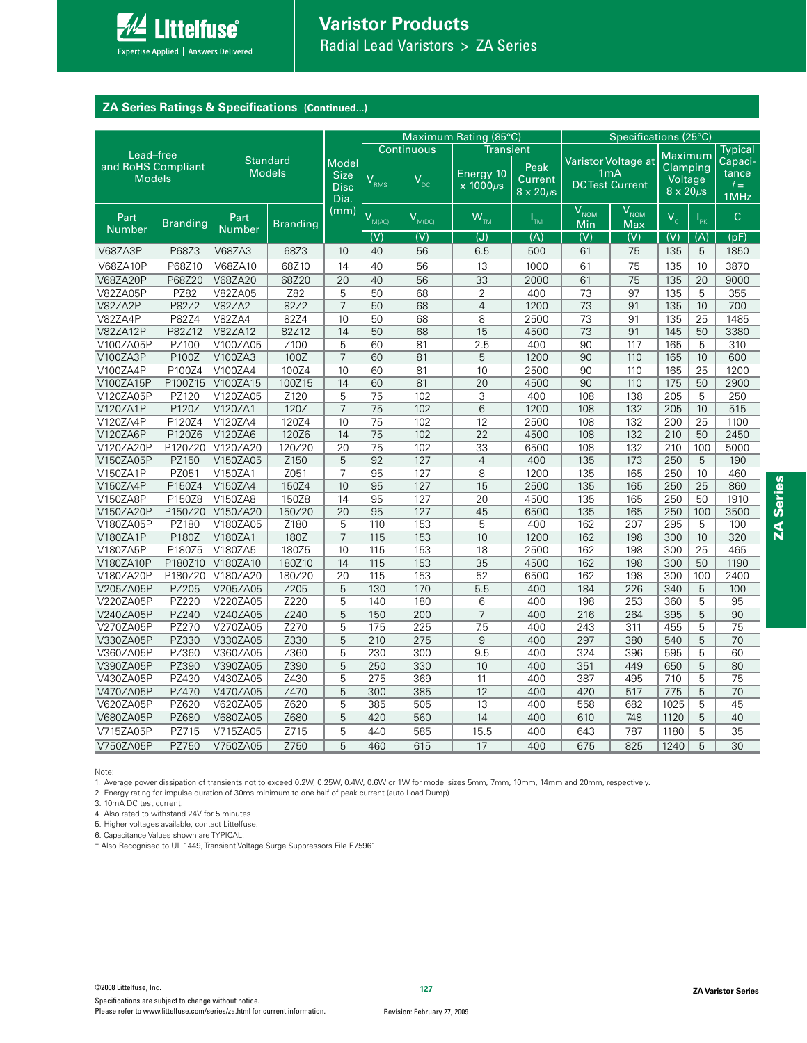

# **ZA Series Ratings & Specifications (Continued...)**

|                                     |                 |                                  |                 |                                                    |                    |                  | Maximum Rating (85°C)         |                                               |                         | Specifications (25°C)                                            |                                                       |                   |                                   |
|-------------------------------------|-----------------|----------------------------------|-----------------|----------------------------------------------------|--------------------|------------------|-------------------------------|-----------------------------------------------|-------------------------|------------------------------------------------------------------|-------------------------------------------------------|-------------------|-----------------------------------|
| Lead-free                           |                 |                                  |                 |                                                    |                    | Continuous       | Transient                     |                                               |                         |                                                                  |                                                       |                   | <b>Typical</b>                    |
| and RoHS Compliant<br><b>Models</b> |                 | <b>Standard</b><br><b>Models</b> |                 | <b>Model</b><br><b>Size</b><br><b>Disc</b><br>Dia. | VRMS               | V <sub>DC</sub>  | Energy 10<br>$x$ 1000 $\mu$ s | Peak<br><b>Current</b><br>$8 \times 20 \mu s$ |                         | Varistor Voltage at<br>1 <sub>m</sub> A<br><b>DCTest Current</b> | Maximum<br>Clamping<br>Voltage<br>$8 \times 20 \mu s$ |                   | Capaci-<br>tance<br>$f =$<br>1MHz |
| Part<br><b>Number</b>               | <b>Branding</b> | Part<br><b>Number</b>            | <b>Branding</b> | (mm)                                               | V <sub>M(AC)</sub> | $V_{M(DC)}$      | $W_{TM}$                      | $I_{TM}$                                      | V <sub>NOM</sub><br>Min | V <sub>NOM</sub><br>Max                                          | $V_c$                                                 | $I_{\mathsf{pk}}$ | C                                 |
|                                     |                 |                                  |                 |                                                    | $\overline{(V)}$   | $\overline{(V)}$ | $\overline{J}$                | (A)                                           | (V)                     | (V)                                                              | $\overline{(V)}$                                      | (A)               | (pF)                              |
| V68ZA3P                             | P68Z3           | <b>V68ZA3</b>                    | 68Z3            | 10                                                 | 40                 | 56               | 6.5                           | 500                                           | 61                      | 75                                                               | 135                                                   | 5                 | 1850                              |
| <b>V68ZA10P</b>                     | P68Z10          | V68ZA10                          | 68Z10           | 14                                                 | 40                 | 56               | 13                            | 1000                                          | 61                      | 75                                                               | 135                                                   | 10                | 3870                              |
| <b>V68ZA20P</b>                     | P68Z20          | V68ZA20                          | 68Z20           | 20                                                 | 40                 | 56               | 33                            | 2000                                          | 61                      | 75                                                               | 135                                                   | 20                | 9000                              |
| <b>V82ZA05P</b>                     | <b>PZ82</b>     | V82ZA05                          | Z82             | 5                                                  | 50                 | 68               | 2                             | 400                                           | 73                      | 97                                                               | 135                                                   | 5                 | 355                               |
| V82ZA2P                             | P82Z2           | <b>V82ZA2</b>                    | 82Z2            | $\overline{7}$                                     | 50                 | 68               | $\overline{4}$                | 1200                                          | 73                      | 91                                                               | 135                                                   | 10                | 700                               |
| V82ZA4P                             | P82Z4           | <b>V82ZA4</b>                    | 82Z4            | 10                                                 | 50                 | 68               | 8                             | 2500                                          | 73                      | 91                                                               | 135                                                   | 25                | 1485                              |
| <b>V82ZA12P</b>                     | P82Z12          | V82ZA12                          | 82Z12           | 14                                                 | 50                 | 68               | $\overline{15}$               | 4500                                          | 73                      | 91                                                               | 145                                                   | 50                | 3380                              |
| V100ZA05P                           | PZ100           | V100ZA05                         | Z100            | 5                                                  | 60                 | 81               | 2.5                           | 400                                           | 90                      | 117                                                              | 165                                                   | 5                 | 310                               |
| V100ZA3P                            | P100Z           | V100ZA3                          | 100Z            | $\overline{7}$                                     | 60                 | 81               | 5                             | 1200                                          | 90                      | 110                                                              | 165                                                   | 10                | 600                               |
| V100ZA4P                            | P100Z4          | V100ZA4                          | 100Z4           | 10                                                 | 60                 | 81               | 10                            | 2500                                          | 90                      | 110                                                              | 165                                                   | 25                | 1200                              |
| V100ZA15P                           | P100Z15         | V100ZA15                         | 100Z15          | 14                                                 | 60                 | 81               | 20                            | 4500                                          | 90                      | 110                                                              | 175                                                   | 50                | 2900                              |
| V120ZA05P                           | PZ120           | V120ZA05                         | Z120            | 5                                                  | 75                 | 102              | 3                             | 400                                           | 108                     | 138                                                              | 205                                                   | 5                 | 250                               |
| V120ZA1P                            | P120Z           | V120ZA1                          | 120Z            | $\overline{7}$                                     | 75                 | 102              | 6                             | 1200                                          | 108                     | 132                                                              | 205                                                   | 10                | 515                               |
| V120ZA4P                            | P120Z4          | V120ZA4                          | 120Z4           | 10                                                 | 75                 | 102              | 12                            | 2500                                          | 108                     | 132                                                              | 200                                                   | 25                | 1100                              |
| V120ZA6P                            | P120Z6          | V120ZA6                          | 120Z6           | 14                                                 | 75                 | 102              | $\overline{22}$               | 4500                                          | 108                     | 132                                                              | 210                                                   | 50                | 2450                              |
| V120ZA20P                           | P120Z20         | V120ZA20                         | 120Z20          | 20                                                 | 75                 | 102              | 33                            | 6500                                          | 108                     | 132                                                              | 210                                                   | 100               | 5000                              |
| V150ZA05P                           | PZ150           | V150ZA05                         | Z150            | 5                                                  | 92                 | 127              | $\overline{4}$                | 400                                           | 135                     | 173                                                              | 250                                                   | 5                 | 190                               |
| V150ZA1P                            | PZ051           | V150ZA1                          | Z051            | 7                                                  | 95                 | 127              | 8                             | 1200                                          | 135                     | 165                                                              | 250                                                   | 10                | 460                               |
| V150ZA4P                            | P150Z4          | V150ZA4                          | 150Z4           | 10                                                 | 95                 | 127              | 15                            | 2500                                          | 135                     | 165                                                              | 250                                                   | 25                | 860                               |
| V150ZA8P                            | P150Z8          | V150ZA8                          | 150Z8           | 14                                                 | 95                 | 127              | 20                            | 4500                                          | 135                     | 165                                                              | 250                                                   | 50                | 1910                              |
| V150ZA20P                           | P150Z20         | V150ZA20                         | 150Z20          | 20                                                 | 95                 | 127              | 45                            | 6500                                          | 135                     | 165                                                              | 250                                                   | 100               | 3500                              |
| V180ZA05P                           | PZ180           | V180ZA05                         | Z180            | 5                                                  | 110                | 153              | 5                             | 400                                           | 162                     | 207                                                              | 295                                                   | 5                 | 100                               |
| V180ZA1P                            | P180Z           | V180ZA1                          | 180Z            | $\overline{7}$                                     | 115                | 153              | 10                            | 1200                                          | 162                     | 198                                                              | 300                                                   | 10                | 320                               |
| V180ZA5P                            | P180Z5          | V180ZA5                          | 180Z5           | 10                                                 | 115                | 153              | 18                            | 2500                                          | 162                     | 198                                                              | 300                                                   | 25                | 465                               |
| V180ZA10P                           | P180Z10         | V180ZA10                         | 180Z10          | 14                                                 | 115                | 153              | 35                            | 4500                                          | 162                     | 198                                                              | 300                                                   | 50                | 1190                              |
| V180ZA20P                           | P180Z20         | V180ZA20                         | 180Z20          | 20                                                 | 115                | 153              | 52                            | 6500                                          | 162                     | 198                                                              | 300                                                   | 100               | 2400                              |
| V205ZA05P                           | PZ205           | V205ZA05                         | Z205            | 5                                                  | 130                | 170              | 5.5                           | 400                                           | 184                     | 226                                                              | 340                                                   | 5                 | 100                               |
| V220ZA05P                           | PZ220           | V220ZA05                         | Z220            | 5                                                  | 140                | 180              | 6                             | 400                                           | 198                     | 253                                                              | 360                                                   | 5                 | 95                                |
| V240ZA05P                           | PZ240           | V240ZA05                         | Z240            | 5                                                  | 150                | 200              | $\overline{7}$                | 400                                           | 216                     | 264                                                              | 395                                                   | 5                 | 90                                |
| V270ZA05P                           | PZ270           | V270ZA05                         | Z270            | 5                                                  | 175                | 225              | 7.5                           | 400                                           | 243                     | 311                                                              | 455                                                   | 5                 | 75                                |
| V330ZA05P                           | PZ330           | V330ZA05                         | Z330            | 5                                                  | 210                | 275              | $9\,$                         | 400                                           | 297                     | 380                                                              | 540                                                   | 5                 | 70                                |
| V360ZA05P                           | PZ360           | V360ZA05                         | Z360            | 5                                                  | 230                | 300              | 9.5                           | 400                                           | 324                     | 396                                                              | 595                                                   | 5                 | 60                                |
| V390ZA05P                           | PZ390           | V390ZA05                         | Z390            | 5                                                  | 250                | 330              | 10                            | 400                                           | 351                     | 449                                                              | 650                                                   | 5                 | 80                                |
| V430ZA05P                           | PZ430           | V430ZA05                         | Z430            | 5                                                  | 275                | 369              | 11                            | 400                                           | 387                     | 495                                                              | 710                                                   | 5                 | 75                                |
| V470ZA05P                           | PZ470           | V470ZA05                         | Z470            | 5                                                  | 300                | 385              | 12                            | 400                                           | 420                     | 517                                                              | 775                                                   | 5                 | 70                                |
| V620ZA05P                           | PZ620           | V620ZA05                         | Z620            | 5                                                  | 385                | 505              | 13                            | 400                                           | 558                     | 682                                                              | 1025                                                  | 5                 | 45                                |
| V680ZA05P                           | PZ680           | V680ZA05                         | Z680            | 5                                                  | 420                | 560              | 14                            | 400                                           | 610                     | 748                                                              | 1120                                                  | 5                 | 40                                |
| V715ZA05P                           | PZ715           | V715ZA05                         | Z715            | 5                                                  | 440                | 585              | 15.5                          | 400                                           | 643                     | 787                                                              | 1180                                                  | 5                 | 35                                |
| V750ZA05P                           | PZ750           | V750ZA05                         | Z750            | 5                                                  | 460                | 615              | 17                            | 400                                           | 675                     | 825                                                              | 1240                                                  | 5                 | 30                                |

Note:

1. Average power dissipation of transients not to exceed 0.2W, 0.25W, 0.4W, 0.6W or 1W for model sizes 5mm, 7mm, 10mm, 14mm and 20mm, respectively.

2. Energy rating for impulse duration of 30ms minimum to one half of peak current (auto Load Dump).

3. 10mA DC test current.

4. Also rated to withstand 24V for 5 minutes.

5. Higher voltages available, contact Littelfuse.

6. Capacitance Values shown are TYPICAL.

t Also Recognised to UL 1449, Transient Voltage Surge Suppressors File E75961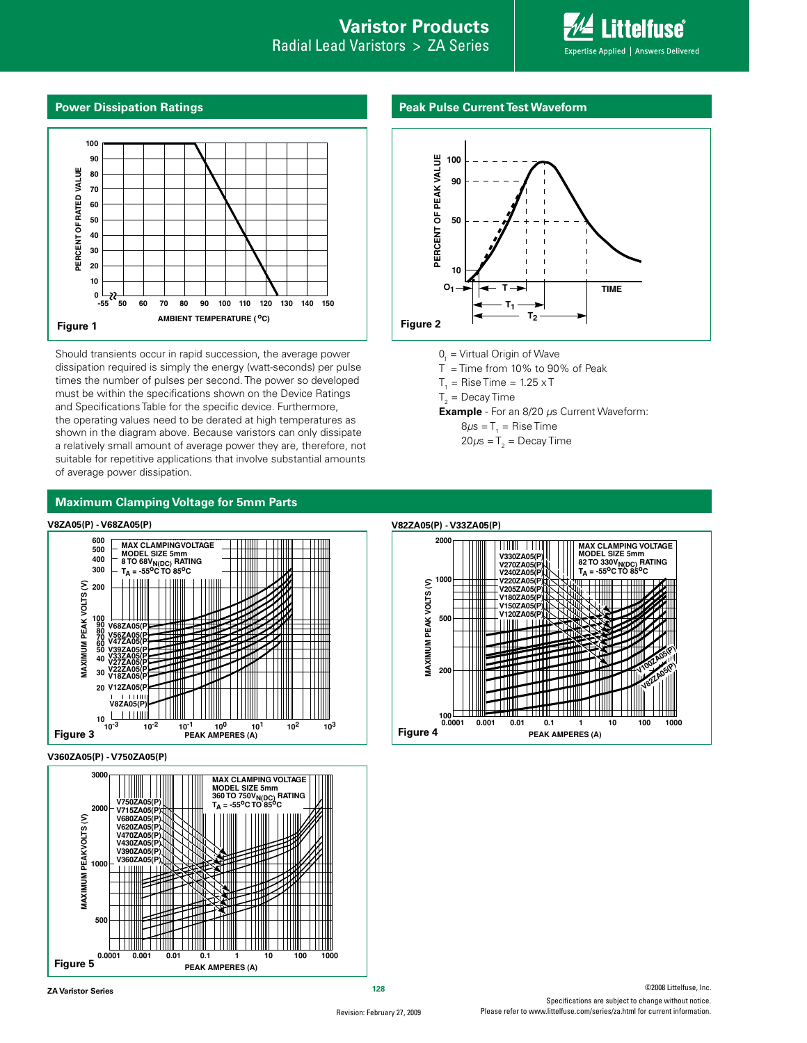# **Varistor Products**

Radial Lead Varistors > ZA Series



#### **Power Dissipation Ratings**



Should transients occur in rapid succession, the average power dissipation required is simply the energy (watt-seconds) per pulse times the number of pulses per second. The power so developed must be within the specifications shown on the Device Ratings and Specifications Table for the specific device. Furthermore, the operating values need to be derated at high temperatures as shown in the diagram above. Because varistors can only dissipate a relatively small amount of average power they are, therefore, not suitable for repetitive applications that involve substantial amounts of average power dissipation.

### **Peak Pulse Current Test Waveform**



- 0<sub>1</sub> = Virtual Origin of Wave
- $T =$  Time from 10% to 90% of Peak
- $T_{1}$  = Rise Time = 1.25 x T
- ${\sf T}_2^{}$  = Decay Time
- **Example** For an 8/20 µs Current Waveform:
	- 8 $\mu$ s = T $_{_{1}}$  = Rise Time 20 $\mu$ s = T $_{_2}$  = Decay Time











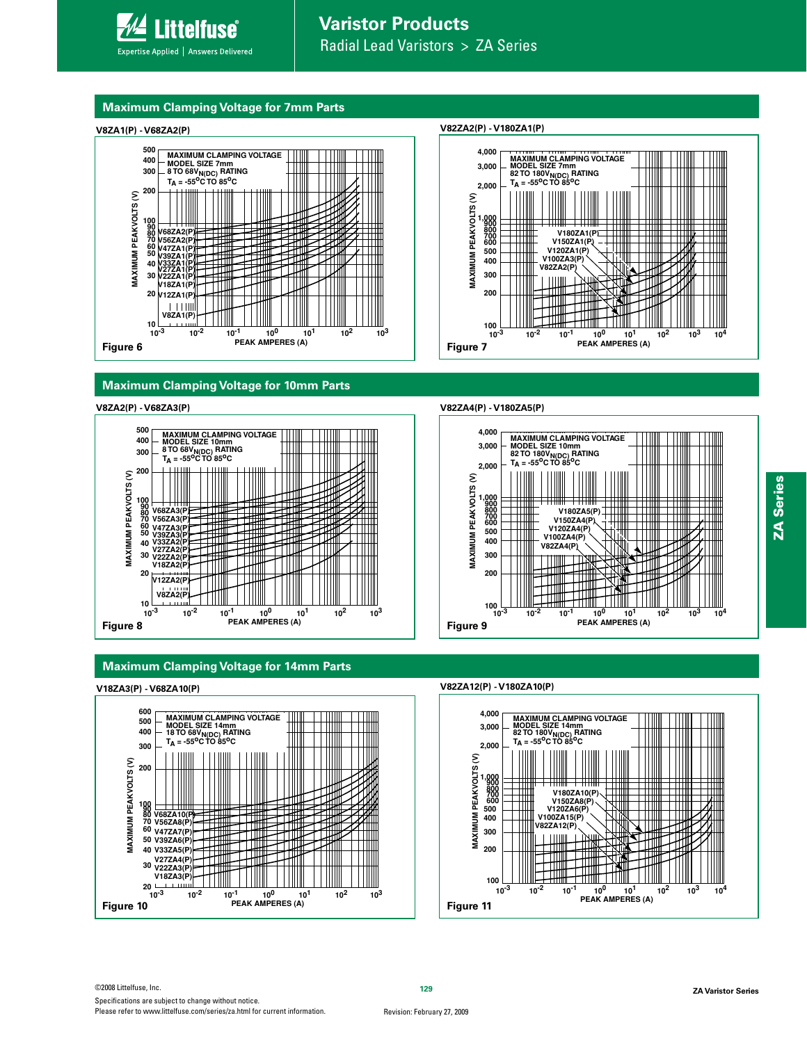

# **Maximum Clamping Voltage for 7mm Parts**



# **Maximum Clamping Voltage for 10mm Parts**

#### **V8ZA2(P) - V68ZA3(P)**



# **Maximum Clamping Voltage for 14mm Parts**

#### **V18ZA3(P) - V68ZA10(P)**



#### **V82ZA2(P) - V180ZA1(P)**



#### **V82ZA4(P) - V180ZA5(P)**



#### **V82ZA12(P) - V180ZA10(P)**

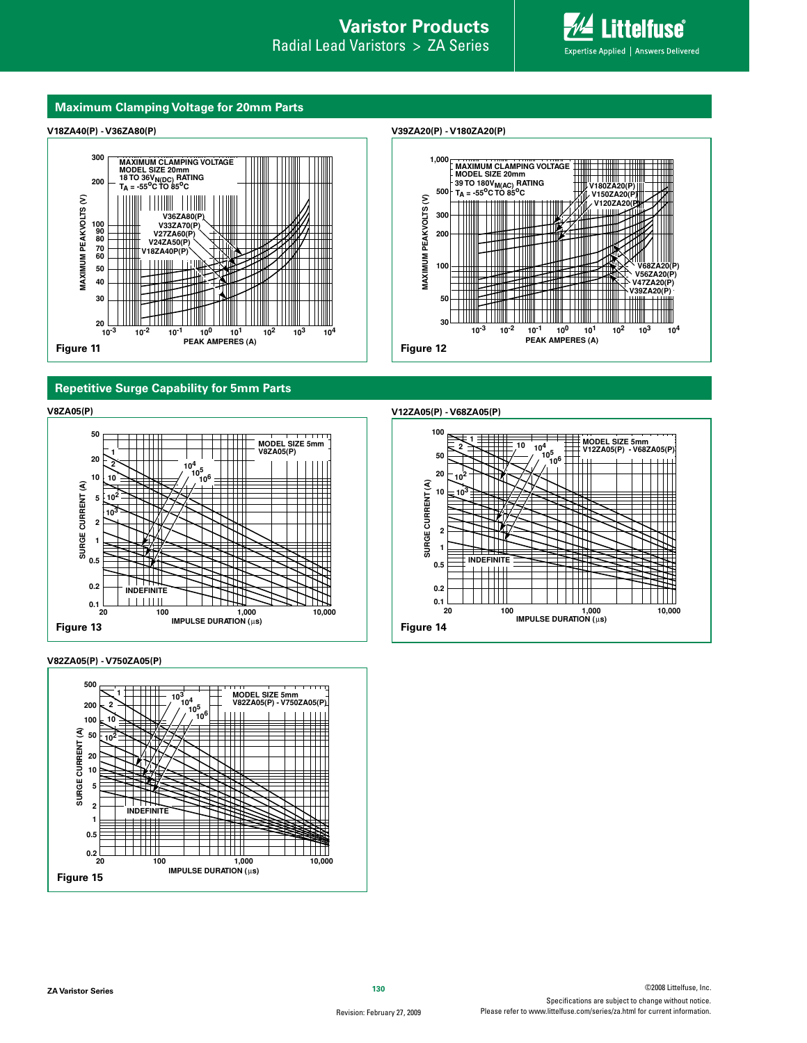

#### **Maximum Clamping Voltage for 20mm Parts**

### **V18ZA40(P) - V36ZA80(P)**







# **Repetitive Surge Capability for 5mm Parts**



**V82ZA05(P) - V750ZA05(P)**



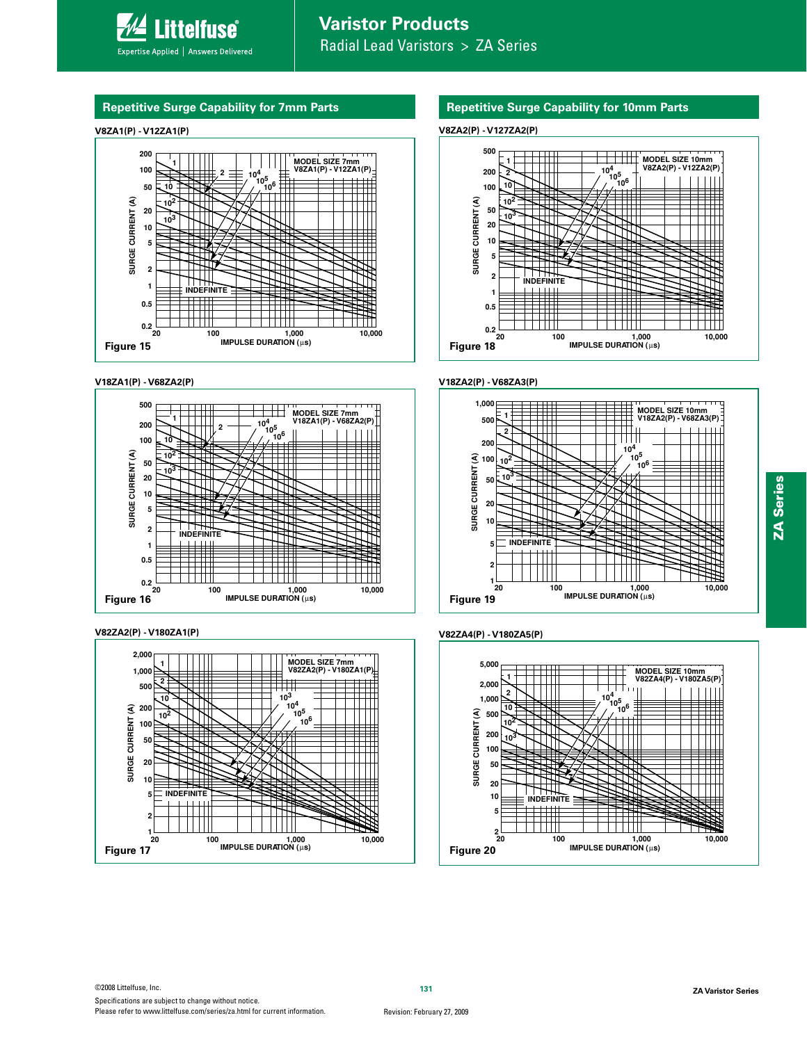# **Repetitive Surge Capability for 7mm Parts**

# **V8ZA1(P) - V12ZA1(P)**



# **V18ZA1(P) - V68ZA2(P)**



#### **V82ZA2(P) - V180ZA1(P)**



# **Repetitive Surge Capability for 10mm Parts**

# **V8ZA2(P) - V127ZA2(P)**



#### **V18ZA2(P) - V68ZA3(P)**



#### **V82ZA4(P) - V180ZA5(P)**

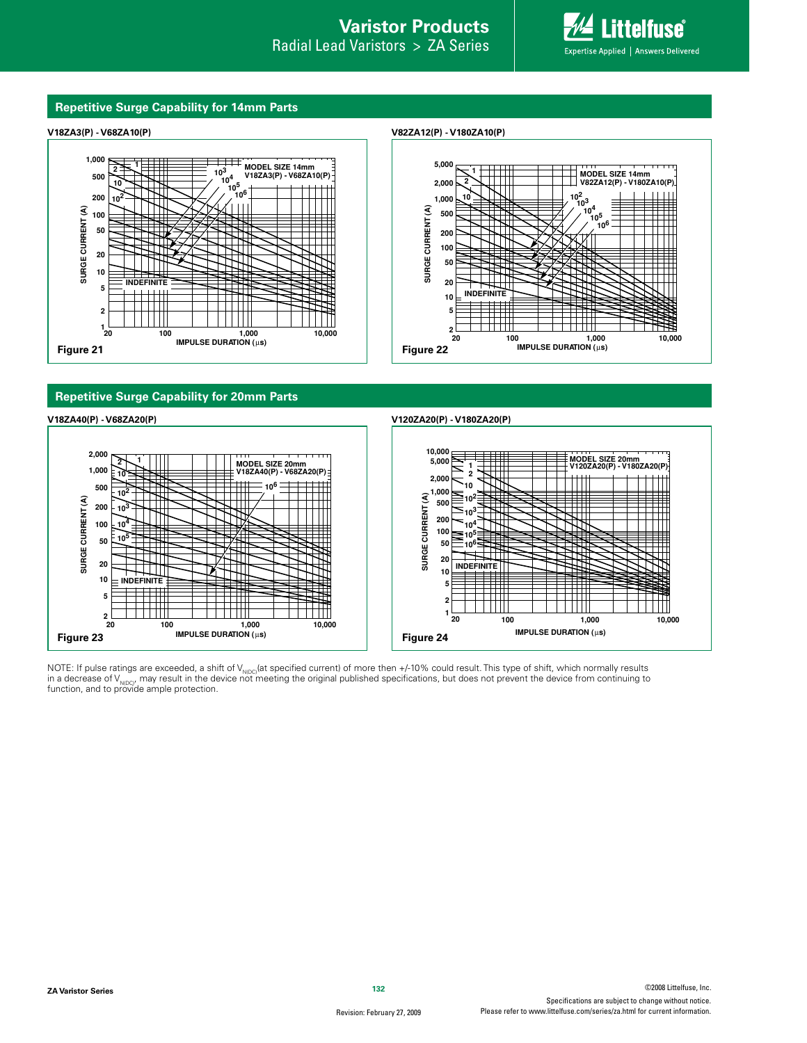#### **Repetitive Surge Capability for 14mm Parts**





**Repetitive Surge Capability for 20mm Parts**



NOTE: If pulse ratings are exceeded, a shift of V<sub>NIDG</sub>(at specified current) of more then +/-10% could result. This type of shift, which normally results<br>in a decrease of V<sub>NIDG/</sub>, may result in the device not meeting the function, and to provide ample protection.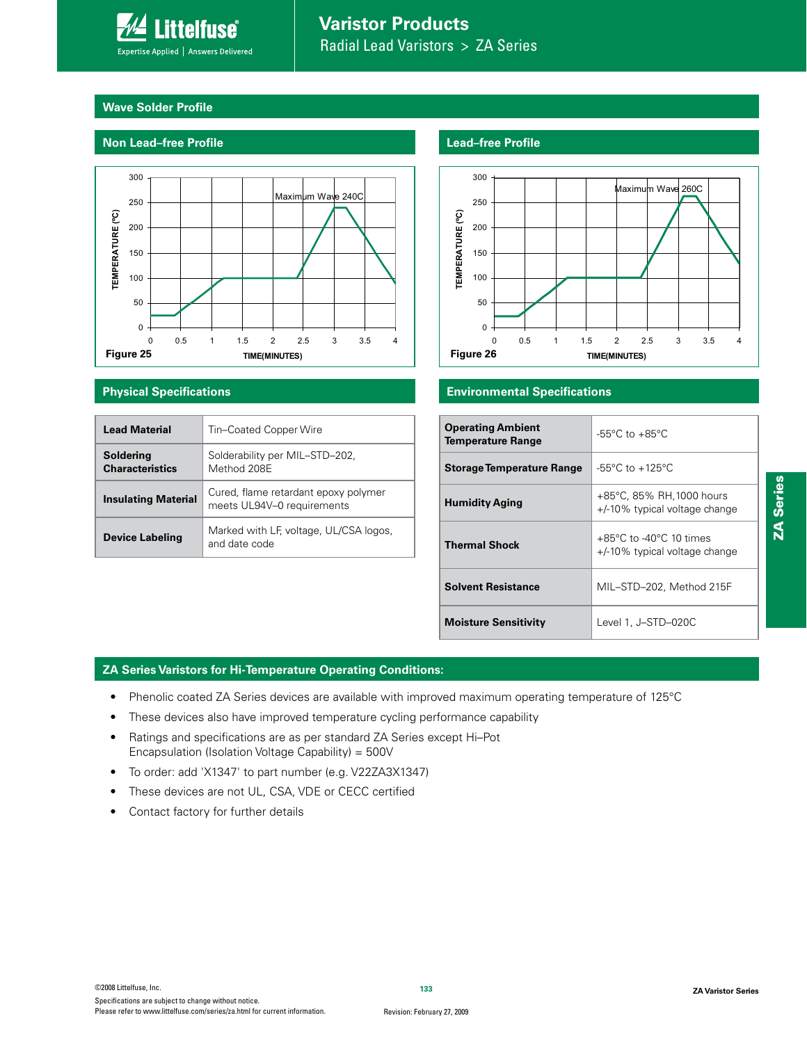

# **Wave Solder Profile**

# **Non Lead–free Profile**



| <b>Lead Material</b>                | Tin-Coated Copper Wire                                             |
|-------------------------------------|--------------------------------------------------------------------|
| Soldering<br><b>Characteristics</b> | Solderability per MIL-STD-202,<br>Method 208F                      |
| <b>Insulating Material</b>          | Cured, flame retardant epoxy polymer<br>meets UL94V-0 requirements |
| <b>Device Labeling</b>              | Marked with LF, voltage, UL/CSA logos,<br>and date code            |

# **Lead–free Profile**



# **Physical Specifications Environmental Specifications**

| <b>Operating Ambient</b><br><b>Temperature Range</b> | $-55^{\circ}$ C to $+85^{\circ}$ C                                            |
|------------------------------------------------------|-------------------------------------------------------------------------------|
| <b>Storage Temperature Range</b>                     | $-55^{\circ}$ C to $+125^{\circ}$ C                                           |
| <b>Humidity Aging</b>                                | +85°C, 85% RH, 1000 hours<br>+/-10% typical voltage change                    |
| <b>Thermal Shock</b>                                 | $+85^{\circ}$ C to -40 $^{\circ}$ C 10 times<br>+/-10% typical voltage change |
| <b>Solvent Resistance</b>                            | MIL-STD-202, Method 215F                                                      |
| <b>Moisture Sensitivity</b>                          | Level 1, J-STD-020C                                                           |

# **ZA Series Varistors for Hi-Temperature Operating Conditions:**

- Phenolic coated ZA Series devices are available with improved maximum operating temperature of 125°C
- These devices also have improved temperature cycling performance capability
- Ratings and specifications are as per standard ZA Series except Hi-Pot Encapsulation (Isolation Voltage Capability) =  $500V$
- To order: add 'X1347' to part number (e.g. V22ZA3X1347)
- These devices are not UL, CSA, VDE or CECC certified
- Contact factory for further details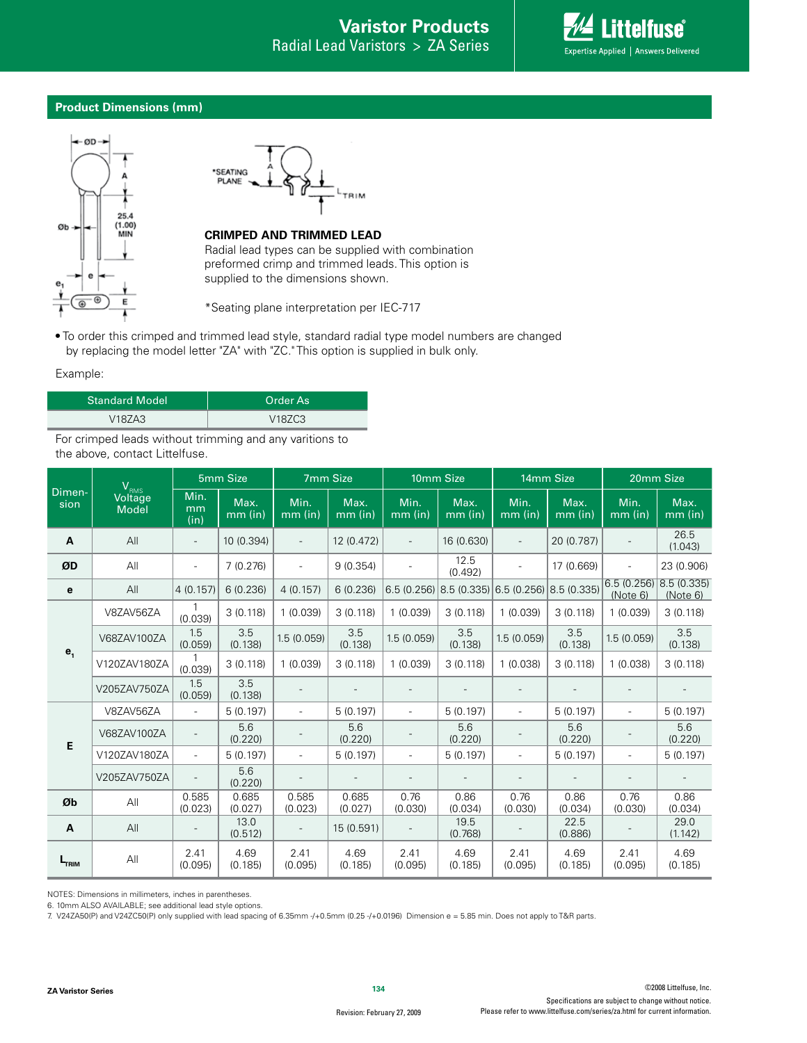

### **Product Dimensions (mm)**





# **CRIMPED AND TRIMMED LEAD**

Radial lead types can be supplied with combination preformed crimp and trimmed leads. This option is supplied to the dimensions shown.

\*Seating plane interpretation per IEC-717

• To order this crimped and trimmed lead style, standard radial type model numbers are changed by replacing the model letter "ZA" with "ZC." This option is supplied in bulk only.

### Example:

| <b>Standard Model</b> | Order As'                       |
|-----------------------|---------------------------------|
| V18ZA3                | V <sub>18</sub> ZC <sub>3</sub> |

For crimped leads without trimming and any varitions to the above, contact Littelfuse.

|                | 5mm Size<br>$V_{RMS}$   |                          |                   | 7mm Size                 |                   | 10mm Size                |                                                 | 14mm Size                |                   | 20mm Size                |                         |
|----------------|-------------------------|--------------------------|-------------------|--------------------------|-------------------|--------------------------|-------------------------------------------------|--------------------------|-------------------|--------------------------|-------------------------|
| Dimen-<br>sion | Voltage<br><b>Model</b> | Min.<br>mm<br>(in)       | Max.<br>$mm$ (in) | Min.<br>$mm$ (in)        | Max.<br>$mm$ (in) | Min.<br>$mm$ (in)        | Max.<br>$mm$ (in)                               | Min.<br>$mm$ (in)        | Max.<br>$mm$ (in) | Min.<br>$mm$ (in)        | Max.<br>$mm$ (in)       |
| A              | All                     | $\overline{\phantom{a}}$ | 10 (0.394)        | $\overline{\phantom{a}}$ | 12 (0.472)        |                          | 16 (0.630)                                      |                          | 20 (0.787)        |                          | 26.5<br>(1.043)         |
| ØD             | All                     | $\overline{\phantom{a}}$ | 7(0.276)          | $\overline{\phantom{a}}$ | 9(0.354)          |                          | 12.5<br>(0.492)                                 |                          | 17 (0.669)        | $\overline{\phantom{a}}$ | 23 (0.906)              |
| е              | All                     | 4(0.157)                 | 6(0.236)          | 4(0.157)                 | 6(0.236)          |                          | $(6.5(0.256)(8.5(0.335)(6.5(0.256)(8.5(0.335))$ |                          |                   | 6.5(0.256)<br>(Note 6)   | 8.5(0.335) <br>(Note 6) |
|                | V8ZAV56ZA               | (0.039)                  | 3(0.118)          | 1(0.039)                 | 3(0.118)          | 1(0.039)                 | 3(0.118)                                        | 1(0.039)                 | 3(0.118)          | 1(0.039)                 | 3(0.118)                |
| e <sub>1</sub> | V68ZAV100ZA             | 1.5<br>(0.059)           | 3.5<br>(0.138)    | 1.5(0.059)               | 3.5<br>(0.138)    | 1.5(0.059)               | 3.5<br>(0.138)                                  | 1.5(0.059)               | 3.5<br>(0.138)    | 1.5(0.059)               | 3.5<br>(0.138)          |
|                | V120ZAV180ZA            | $\mathbf{1}$<br>(0.039)  | 3(0.118)          | 1(0.039)                 | 3(0.118)          | 1(0.039)                 | 3(0.118)                                        | 1(0.038)                 | 3(0.118)          | 1(0.038)                 | 3(0.118)                |
|                | V205ZAV750ZA            | 1.5<br>(0.059)           | 3.5<br>(0.138)    |                          |                   |                          |                                                 |                          |                   |                          |                         |
|                | V8ZAV56ZA               | $\overline{\phantom{a}}$ | 5(0.197)          | $\overline{\phantom{a}}$ | 5(0.197)          | $\overline{\phantom{a}}$ | 5(0.197)                                        | $\overline{\phantom{a}}$ | 5(0.197)          | $\frac{1}{2}$            | 5(0.197)                |
| E              | V68ZAV100ZA             | $\overline{\phantom{a}}$ | 5.6<br>(0.220)    |                          | 5.6<br>(0.220)    |                          | 5.6<br>(0.220)                                  |                          | 5.6<br>(0.220)    |                          | 5.6<br>(0.220)          |
|                | V120ZAV180ZA            | $\overline{\phantom{a}}$ | 5(0.197)          | $\overline{\phantom{a}}$ | 5(0.197)          | $\overline{\phantom{a}}$ | 5(0.197)                                        | $\overline{\phantom{a}}$ | 5(0.197)          | $\overline{\phantom{a}}$ | 5(0.197)                |
|                | V205ZAV750ZA            |                          | 5.6<br>(0.220)    |                          |                   |                          |                                                 |                          | $\overline{a}$    |                          |                         |
| Øb             | All                     | 0.585<br>(0.023)         | 0.685<br>(0.027)  | 0.585<br>(0.023)         | 0.685<br>(0.027)  | 0.76<br>(0.030)          | 0.86<br>(0.034)                                 | 0.76<br>(0.030)          | 0.86<br>(0.034)   | 0.76<br>(0.030)          | 0.86<br>(0.034)         |
| A              | All                     |                          | 13.0<br>(0.512)   |                          | 15 (0.591)        |                          | 19.5<br>(0.768)                                 |                          | 22.5<br>(0.886)   |                          | 29.0<br>(1.142)         |
| <b>TRIM</b>    | All                     | 2.41<br>(0.095)          | 4.69<br>(0.185)   | 2.41<br>(0.095)          | 4.69<br>(0.185)   | 2.41<br>(0.095)          | 4.69<br>(0.185)                                 | 2.41<br>(0.095)          | 4.69<br>(0.185)   | 2.41<br>(0.095)          | 4.69<br>(0.185)         |

NOTES: Dimensions in millimeters, inches in parentheses.

6. 10mm ALSO AVAILABLE; see additional lead style options.

7. V24ZA50(P) and V24ZC50(P) only supplied with lead spacing of 6.35mm -/+0.5mm (0.25 -/+0.0196) Dimension e = 5.85 min. Does not apply to T&R parts.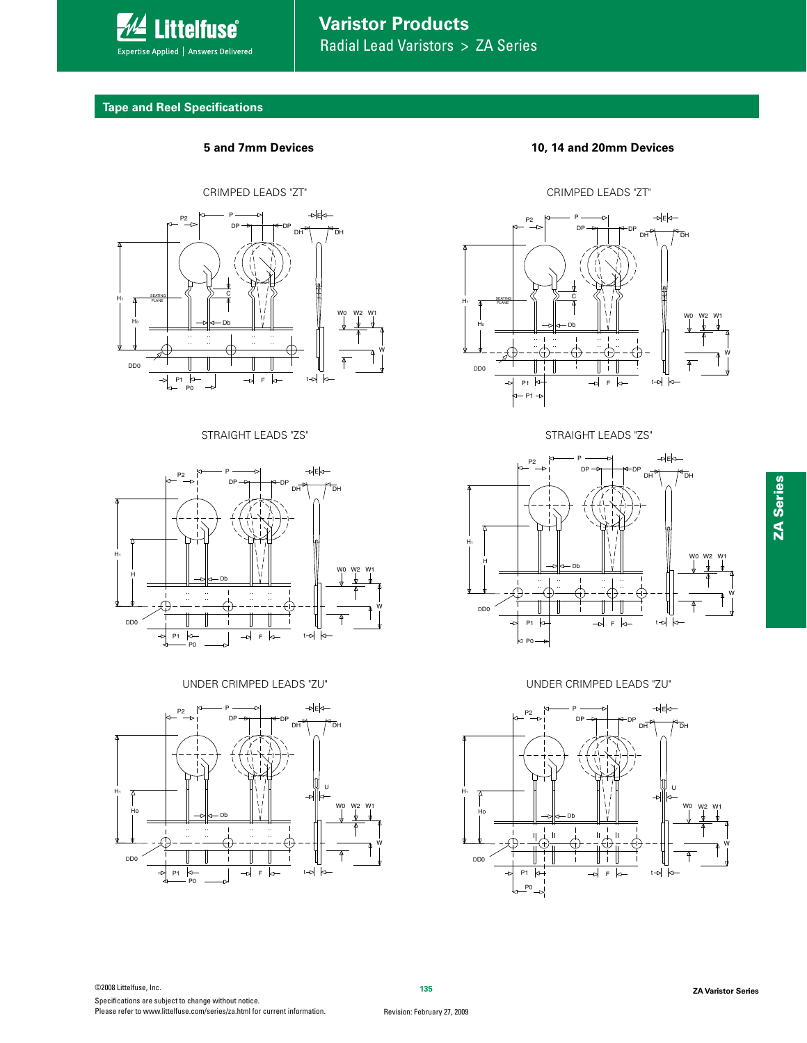

# **Varistor Products** Radial Lead Varistors > ZA Series

# **Tape and Reel Specifications**







**5 and 7mm Devices 10, 14 and 20mm Devices**



453" STRAIGHT LEADS "ZS" And The Straight STRAIGHT LEADS "ZS"



6/%&3\$3\*.1&%-&"%4;6 6/%&3\$3\*.1&%-&"%4;6

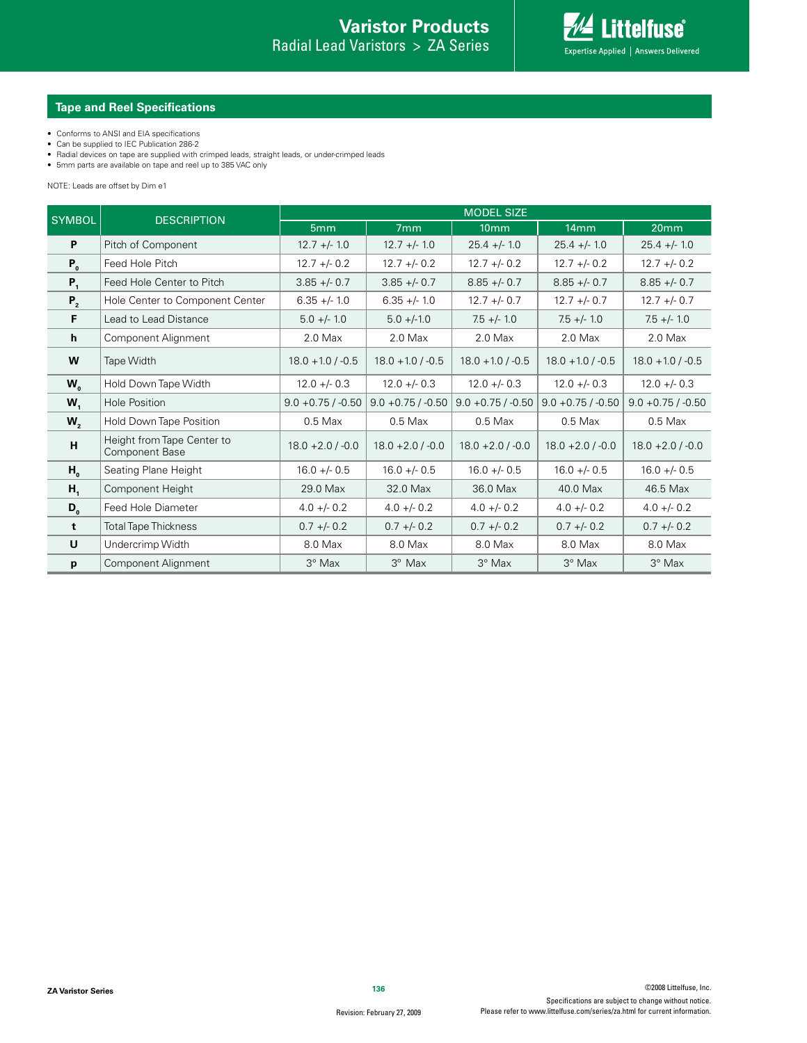# **Tape and Reel Specifications**

- Conforms to ANSI and EIA specifications
- 
- Can be supplied to IEC Publication 286-2<br>• Radial devices on tape are supplied with crimped leads, straight leads, or under-crimped leads<br>• 5mm parts are available on tape and reel up to 385 VAC only
- 

NOTE: Leads are offset by Dim e1

| <b>SYMBOL</b>  | <b>DESCRIPTION</b>                                  | <b>MODEL SIZE</b>    |                      |                      |                      |                      |  |  |  |
|----------------|-----------------------------------------------------|----------------------|----------------------|----------------------|----------------------|----------------------|--|--|--|
|                |                                                     | 5 <sub>mm</sub>      | 7mm                  | 10 <sub>mm</sub>     | 14mm                 | 20mm                 |  |  |  |
| P              | Pitch of Component                                  | $12.7 +/- 1.0$       | $12.7 +/- 1.0$       | $25.4 +/- 1.0$       | $25.4 +/- 1.0$       | $25.4 +/- 1.0$       |  |  |  |
| $P_{0}$        | Feed Hole Pitch                                     | $12.7 + - 0.2$       | $12.7 + - 0.2$       | $12.7 + - 0.2$       | $12.7 + - 0.2$       | $12.7 + - 0.2$       |  |  |  |
| $P_1$          | Feed Hole Center to Pitch                           | $3.85 + - 0.7$       | $3.85 + - 0.7$       | $8.85 + - 0.7$       | $8.85 + - 0.7$       | $8.85 + - 0.7$       |  |  |  |
| $P_{2}$        | Hole Center to Component Center                     | $6.35 +/- 1.0$       | $6.35 +/- 1.0$       | $12.7 + - 0.7$       | $12.7 + - 0.7$       | $12.7 + - 0.7$       |  |  |  |
| F              | Lead to Lead Distance                               | $5.0 +/- 1.0$        | $5.0 +/-1.0$         | $7.5 +/- 1.0$        | $7.5 +/- 1.0$        | $7.5 +/- 1.0$        |  |  |  |
| h              | Component Alignment                                 | $2.0$ Max            | $2.0$ Max            | $2.0$ Max            | $2.0$ Max            | $2.0$ Max            |  |  |  |
| W              | Tape Width                                          | $18.0 + 1.0 / -0.5$  | $18.0 + 1.0 / -0.5$  | $18.0 + 1.0 / -0.5$  | $18.0 + 1.0 / -0.5$  | $18.0 + 1.0 / -0.5$  |  |  |  |
| $W_{o}$        | Hold Down Tape Width                                | $12.0 + - 0.3$       | $12.0 + - 0.3$       | $12.0 + - 0.3$       | $12.0 + - 0.3$       | $12.0 + - 0.3$       |  |  |  |
| $W_1$          | <b>Hole Position</b>                                | $9.0 + 0.75 / -0.50$ | $9.0 + 0.75 / -0.50$ | $9.0 + 0.75 / -0.50$ | $9.0 + 0.75 / -0.50$ | $9.0 + 0.75 / -0.50$ |  |  |  |
| W,             | Hold Down Tape Position                             | $0.5$ Max            | $0.5$ Max            | $0.5$ Max            | $0.5$ Max            | $0.5$ Max            |  |  |  |
| H              | Height from Tape Center to<br><b>Component Base</b> | $18.0 + 2.0 / -0.0$  | $18.0 + 2.0$ / -0.0  | $18.0 + 2.0 / -0.0$  | $18.0 + 2.0 / -0.0$  | $18.0 + 2.0 / -0.0$  |  |  |  |
| $H_{o}$        | Seating Plane Height                                | $16.0 +/- 0.5$       | $16.0 +/- 0.5$       | $16.0 + - 0.5$       | $16.0 + - 0.5$       | $16.0 + - 0.5$       |  |  |  |
| H <sub>1</sub> | Component Height                                    | 29.0 Max             | 32.0 Max             | 36.0 Max             | 40.0 Max             | 46.5 Max             |  |  |  |
| $D_{0}$        | Feed Hole Diameter                                  | $4.0 + -0.2$         | $4.0 + - 0.2$        | $4.0 + -0.2$         | $4.0 + - 0.2$        | $4.0 + - 0.2$        |  |  |  |
| t              | <b>Total Tape Thickness</b>                         | $0.7 + -0.2$         | $0.7 + -0.2$         | $0.7 +/- 0.2$        | $0.7 +/- 0.2$        | $0.7 + -0.2$         |  |  |  |
| U              | Undercrimp Width                                    | 8.0 Max              | 8.0 Max              | 8.0 Max              | 8.0 Max              | 8.0 Max              |  |  |  |
| p              | Component Alignment                                 | 3° Max               | 3° Max               | 3° Max               | 3° Max               | 3° Max               |  |  |  |